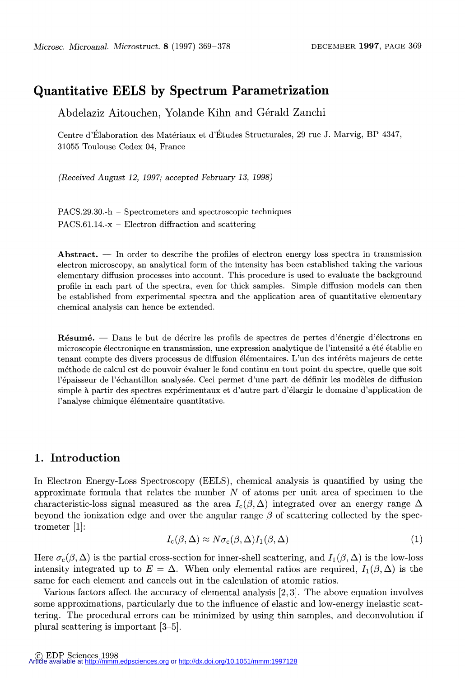# Quantitative EELS by Spectrum Parametrization

Abdelaziz Aitouchen, Yolande Kihn and Gérald Zanchi

Centre d'Élaboration des Matériaux et d'Études Structurales, 29 rue J. Marvig, BP 4347, 31055 Toulouse Cedex 04, France

(Received August 12, 1997; accepted February 13, 1998)

PACS.29.30.-h - Spectrometers and spectroscopic techniques  $PACS.61.14-x - Electron diffraction and scattering$ 

Abstract.  $\overline{a}$  In order to describe the profiles of electron energy loss spectra in transmission electron microscopy, an analytical form of the intensity has been established taking the various elementary diffusion processes into account. This procedure is used to evaluate the background profile in each part of the spectra, even for thick samples. Simple diffusion models can then be established from experimental spectra and the application area of quantitative elementary chemical analysis can hence be extended.

 $R$ ésumé.  $-$  Dans le but de décrire les profils de spectres de pertes d'énergie d'électrons en microscopie électronique en transmission, une expression analytique de l'intensité a été établie en tenant compte des divers processus de diffusion élémentaires. L'un des intérêts majeurs de cette méthode de calcul est de pouvoir evaluer le fond continu en tout point du spectre, quelle que soit l'épaisseur de l'échantillon analysée. Ceci permet d'une part de définir les modèles de diffusion simple à partir des spectres expérimentaux et d'autre part d'élargir le domaine d'application de l'analyse chimique élémentaire quantitative.

### 1. Introduction

In Electron Energy-Loss Spectroscopy (EELS), chemical analysis is quantified by using the approximate formula that relates the number  $N$  of atoms per unit area of specimen to the characteristic-loss signal measured as the area  $I_c(\beta,\Delta)$  integrated over an energy range  $\Delta$ beyond the ionization edge and over the angular range  $\beta$  of scattering collected by the spectrometer [1]:

$$
I_{\rm c}(\beta,\Delta) \approx N\sigma_{\rm c}(\beta,\Delta)I_1(\beta,\Delta) \tag{1}
$$

Here  $\sigma_c(\beta,\Delta)$  is the partial cross-section for inner-shell scattering, and  $I_1(\beta,\Delta)$  is the low-loss intensity integrated up to  $E = \Delta$ . When only elemental ratios are required,  $I_1(\beta, \Delta)$  is the same for each element and cancels out in the calculation of atomic ratios.

Various factors affect the accuracy of elemental analysis [2,3]. The above equation involves some approximations, particularly due to the influence of elastic and low-energy inelastic scattering. The procedural errors can be minimized by using thin samples, and deconvolution if plural scattering is important [3-5].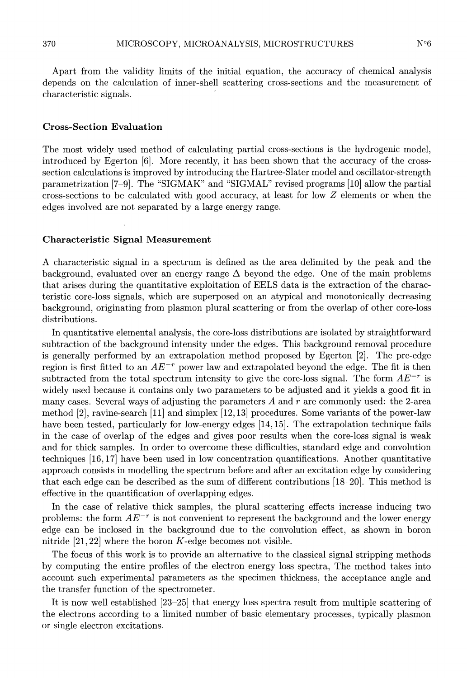$N^{\circ}6$ 

Apart from the validity limits of the initial equation, the accuracy of chemical analysis depends on the calculation of inner-shell scattering cross-sections and the measurement of characteristic signals. '

#### Cross-Section Evaluation

The most widely used method of calculating partial cross-sections is the hydrogenic model, introduced by Egerton [6]. More recently, it has been shown that the accuracy of the crosssection calculations is improved by introducing the Hartree-Slater model and oscillator-strength parametrization [7-9]. The "SIGMAK" and "SIGMAL" revised programs [10] allow the partial cross-sections to be calculated with good accuracy, at least for low Z elements or when the edges involved are not separated by a large energy range.

#### Characteristic Signal Measurement

A characteristic signal in a spectrum is defined as the area delimited by the peak and the background, evaluated over an energy range  $\Delta$  beyond the edge. One of the main problems that arises during the quantitative exploitation of EELS data is the extraction of the characteristic core-loss signals, which are superposed on an atypical and monotonically decreasing background, originating from plasmon plural scattering or from the overlap of other core-loss distributions.

In quantitative elemental analysis, the core-loss distributions are isolated by straightforward subtraction of the background intensity under the edges. This background removal procedure is generally performed by an extrapolation method proposed by Egerton [2]. The pre-edge region is first fitted to an  $AE^{-r}$  power law and extrapolated beyond the edge. The fit is then subtracted from the total spectrum intensity to give the core-loss signal. The form  $AE^{-r}$  is widely used because it contains only two parameters to be adjusted and it yields a good fit in many cases. Several ways of adjusting the parameters  $A$  and  $r$  are commonly used: the 2-area method [2], ravine-search [11] and simplex [12,13] procedures. Some variants of the power-law have been tested, particularly for low-energy edges [14,15]. The extrapolation technique fails in the case of overlap of the edges and gives poor results when the core-loss signal is weak and for thick samples. In order to overcome these difficulties, standard edge and convolution techniques [16,17] have been used in low concentration quantifications. Another quantitative approach consists in modelling the spectrum before and after an excitation edge by considering that each edge can be described as the sum of different contributions [18-20]. This method is effective in the quantification of overlapping edges.

In the case of relative thick samples, the plural scattering effects increase inducing two problems: the form  $AE^{-r}$  is not convenient to represent the background and the lower energy edge can be inclosed in the background due to the convolution effect, as shown in boron nitride  $[21, 22]$  where the boron K-edge becomes not visible.

The focus of this work is to provide an alternative to the classical signal stripping methods by computing the entire profiles of the electron energy loss spectra, The method takes into account such experimental parameters as the specimen thickness, the acceptance angle and the transfer function of the spectrometer.

It is now well established [23-25] that energy loss spectra result from multiple scattering of the electrons according to a limited number of basic elementary processes, typically plasmon or single electron excitations.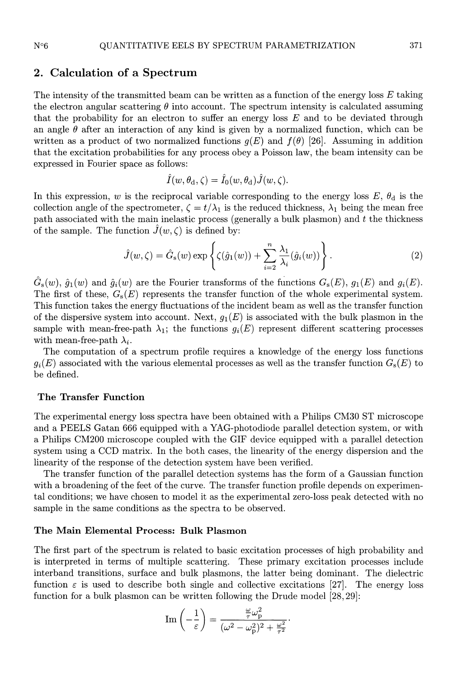### 2. Calculation of a Spectrum

The intensity of the transmitted beam can be written as a function of the energy loss  $E$  taking the electron angular scattering  $\theta$  into account. The spectrum intensity is calculated assuming that the probability for an electron to suffer an energy loss  $E$  and to be deviated through an angle  $\theta$  after an interaction of any kind is given by a normalized function, which can be written as a product of two normalized functions  $g(E)$  and  $f(\theta)$  [26]. Assuming in addition that the excitation probabilities for any process obey a Poisson law, the beam intensity can be expressed in Fourier space as follows:

$$
\hat{I}(w, \theta_{\rm d}, \zeta) = \hat{I}_0(w, \theta_{\rm d}) \hat{J}(w, \zeta).
$$

In this expression, w is the reciprocal variable corresponding to the energy loss  $E, \theta_d$  is the collection angle of the spectrometer,  $\zeta = t/\lambda_1$  is the reduced thickness,  $\lambda_1$  being the mean free path associated with the main inelastic process (generally a bulk plasmon) and  $t$  the thickness of the sample. The function  $\hat{J}(w,\zeta)$  is defined by:

$$
\hat{J}(w,\zeta) = \hat{G}_{s}(w) \exp\left\{ \zeta(\hat{g}_{1}(w)) + \sum_{i=2}^{n} \frac{\lambda_{1}}{\lambda_{i}}(\hat{g}_{i}(w)) \right\}.
$$
\n(2)

 $\hat{G}_{s}(w), \hat{g}_{1}(w)$  and  $\hat{g}_{i}(w)$  are the Fourier transforms of the functions  $G_{s}(E), g_{1}(E)$  and  $g_{i}(E)$ . The first of these,  $G_s(E)$  represents the transfer function of the whole experimental system. This function takes the energy fluctuations of the incident beam as well as the transfer function of the dispersive system into account. Next,  $g_1(E)$  is associated with the bulk plasmon in the sample with mean-free-path  $\lambda_1$ ; the functions  $g_i(E)$  represent different scattering processes with mean-free-path  $\lambda_i$ .

The computation of a spectrum profile requires a knowledge of the energy loss functions  $g_i(E)$  associated with the various elemental processes as well as the transfer function  $G_s(E)$  to be defined.

#### The Transfer Function

The experimental energy loss spectra have been obtained with a Philips CM30 ST microscope and a PEELS Gatan 666 equipped with a YAG-photodiode parallel detection system, or with a Philips CM200 microscope coupled with the GIF device equipped with a parallel detection system using a CCD matrix. In the both cases, the linearity of the energy dispersion and the linearity of the response of the detection system have been verified.

The transfer function of the parallel detection systems has the form of a Gaussian function with a broadening of the feet of the curve. The transfer function profile depends on experimental conditions; we have chosen to model it as the experimental zero-loss peak detected with no sample in the same conditions as the spectra to be observed.

#### The Main Elemental Process: Bulk Plasmon

The first part of the spectrum is related to basic excitation processes of high probability and is interpreted in terms of multiple scattering. These primary excitation processes include interband transitions, surface and bulk plasmons, the latter being dominant. The dielectric function  $\varepsilon$  is used to describe both single and collective excitations [27]. The energy loss function for a bulk plasmon can be written following the Drude model [28,29]:

$$
\text{Im}\left(-\frac{1}{\varepsilon}\right) = \frac{\frac{\omega}{\tau}\omega_{\text{p}}^2}{(\omega^2 - \omega_{\text{p}}^2)^2 + \frac{\omega^2}{\tau^2}}
$$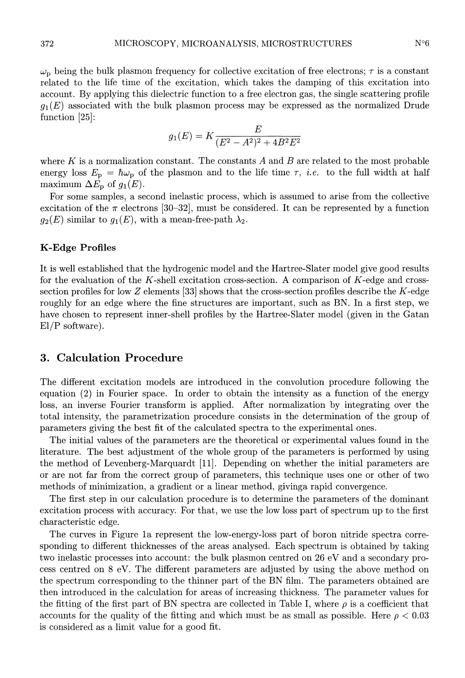$\omega_{\rm p}$  being the bulk plasmon frequency for collective excitation of free electrons;  $\tau$  is a constant related to the life time of the excitation, which takes the damping of this excitation into account. By applying this dielectric function to a free electron gas, the single scattering profile  $g_1(E)$  associated with the bulk plasmon process may be expressed as the normalized Drude function  $[25]$ :

$$
g_1(E) = K \frac{E}{(E^2 - A^2)^2 + 4B^2 E^2}
$$

where  $K$  is a normalization constant. The constants  $A$  and  $B$  are related to the most probable energy loss  $E_p = \hbar \omega_p$  of the plasmon and to the life time  $\tau$ , *i.e.* to the full width at half maximum  $\Delta E_{\rm p}$  of  $g_1(E)$ .

For some samples, a second inelastic process, which is assumed to arise from the collective excitation of the  $\pi$  electrons [30-32], must be considered. It can be represented by a function  $g_2(E)$  similar to  $g_1(E)$ , with a mean-free-path  $\lambda_2$ .

#### K-Edge Profiles

It is well established that the hydrogenic model and the Hartree-Slater model give good results for the evaluation of the K-shell excitation cross-section. A comparison of  $K$ -edge and crosssection profiles for low Z elements [33] shows that the cross-section profiles describe the K-edge roughly for an edge where the fine structures are important, such as BN. In a first step, we have chosen to represent inner-shell profiles by the Hartree-Slater model (given in the Gatan El/P software).

### 3. Calculation Procedure

The different excitation models are introduced in the convolution procedure following the equation (2) in Fourier space. In order to obtain the intensity as a function of the energy loss, an inverse Fourier transform is applied. After normalization by integrating over the total intensity, the parametrization procedure consists in the determination of the group of parameters giving the best fit of the calculated spectra to the experimental ones.

The initial values of the parameters are the theoretical or experimental values found in the literature. The best adjustment of the whole group of the parameters is performed by using the method of Levenberg-Marquardt [11]. Depending on whether the initial parameters are or are not far from the correct group of parameters, this technique uses one or other of two methods of minimization, a gradient or a linear method, givinga rapid convergence.

The first step in our calculation procedure is to determine the parameters of the dominant excitation process with accuracy. For that, we use the low loss part of spectrum up to the first characteristic edge.

The curves in Figure la represent the low-energy-loss part of boron nitride spectra corresponding to different thicknesses of the areas analysed. Each spectrum is obtained by taking two inelastic processes into account: the bulk plasmon centred on 26 eV and a secondary process centred on 8 eV. The different parameters are adjusted by using the above method on the spectrum corresponding to the thinner part of the BN film. The parameters obtained are then introduced in the calculation for areas of increasing thickness. The parameter values for the fitting of the first part of BN spectra are collected in Table I, where  $\rho$  is a coefficient that accounts for the quality of the fitting and which must be as small as possible. Here  $\rho < 0.03$ is considered as a limit value for a good fit.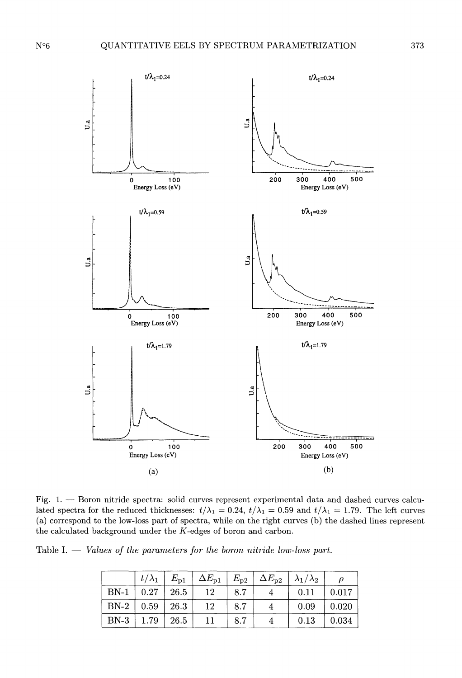

Fig. 1. - Boron nitride spectra: solid curves represent experimental data and dashed curves calculated spectra for the reduced thicknesses:  $t/\lambda_1 = 0.24$ ,  $t/\lambda_1 = 0.59$  and  $t/\lambda_1 = 1.79$ . The left curves (a) correspond to the low-loss part of spectra, while on the right curves (b) the dashed lines represent the calculated background under the K-edges of boron and carbon.

Table I.  $-$  Values of the parameters for the boron nitride low-loss part.

|        | $t/\lambda_1$ | $E_{\mathrm{p1}}$ | $\Delta E_{\text{p1}}$ | $E_{\mathrm{p}2}$ | $\Delta E_{\text{D2}}$ | $ \lambda_1/\lambda_2 $ |       |
|--------|---------------|-------------------|------------------------|-------------------|------------------------|-------------------------|-------|
| $BN-1$ | 0.27          | $\pm 26.5$        | 12                     | 8.7               |                        | 0.11                    | 0.017 |
| $BN-2$ | 0.59          | $\pm 26.3$        | 12                     | 8.7               |                        | 0.09                    | 0.020 |
| $BN-3$ | 1.79          | 26.5              | 11                     | 8.7               |                        | 0.13                    | 0.034 |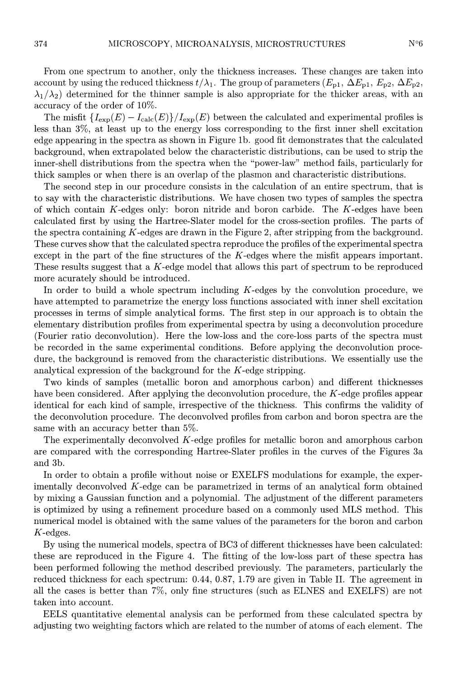From one spectrum to another, only the thickness increases. These changes are taken into account by using the reduced thickness  $t/\lambda_1$ . The group of parameters  $(E_{p1}, \Delta E_{p1}, E_{p2}, \Delta E_{p2}$  $\lambda_1/\lambda_2$  determined for the thinner sample is also appropriate for the thicker areas, with an accuracy of the order of 10%.

The misfit  $\{I_{\exp}(E) - I_{\text{calc}}(E)\}/I_{\text{exp}}(E)$  between the calculated and experimental profiles is less than 3%, at least up to the energy loss corresponding to the first inner shell excitation edge appearing in the spectra as shown in Figure lb. good fit demonstrates that the calculated background, when extrapolated below the characteristic distributions, can be used to strip the inner-shell distributions from the spectra when the "power-law" method fails, particularly for thick samples or when there is an overlap of the plasmon and characteristic distributions.

The second step in our procedure consists in the calculation of an entire spectrum, that is to say with the characteristic distributions. We have chosen two types of samples the spectra of which contain K-edges only: boron nitride and boron carbide. The K-edges have been calculated first by using the Hartree-Slater model for the cross-section profiles. The parts of the spectra containing K-edges are drawn in the Figure 2, after stripping from the background. These curves show that the calculated spectra reproduce the profiles of the experimental spectra except in the part of the fine structures of the K-edges where the misfit appears important. These results suggest that a K-edge model that allows this part of spectrum to be reproduced more acurately should be introduced.

In order to build a whole spectrum including  $K$ -edges by the convolution procedure, we have attempted to parametrize the energy loss functions associated with inner shell excitation processes in terms of simple analytical forms. The first step in our approach is to obtain the elementary distribution profiles from experimental spectra by using a deconvolution procedure (Fourier ratio deconvolution). Here the low-loss and the core-loss parts of the spectra must be recorded in the same experimental conditions. Before applying the deconvolution procedure, the background is removed from the characteristic distributions. We essentially use the analytical expression of the background for the K-edge stripping.

Two kinds of samples (metallic boron and amorphous carbon) and different thicknesses have been considered. After applying the deconvolution procedure, the  $K$ -edge profiles appear identical for each kind of sample, irrespective of the thickness. This confirms the validity of the deconvolution procedure. The deconvolved profiles from carbon and boron spectra are the same with an accuracy better than 5%.

The experimentally deconvolved K-edge profiles for metallic boron and amorphous carbon are compared with the corresponding Hartree-Slater profiles in the curves of the Figures 3a and 3b.

In order to obtain a profile without noise or EXELFS modulations for example, the experimentally deconvolved  $K$ -edge can be parametrized in terms of an analytical form obtained by mixing a Gaussian function and a polynomial. The adjustment of the different parameters is optimized by using a refinement procedure based on a commonly used MLS method. This numerical model is obtained with the same values of the parameters for the boron and carbon K-edges.

By using the numerical models, spectra of BC3 of different thicknesses have been calculated: these are reproduced in the Figure 4. The fitting of the low-loss part of these spectra has been performed following the method described previously. The parameters, particularly the reduced thickness for each spectrum: 0.44, 0.87, 1.79 are given in Table II. The agreement in all the cases is better than 7%, only fine structures (such as ELNES and EXELFS) are not taken into account.

EELS quantitative elemental analysis can be performed from these calculated spectra by adjusting two weighting factors which are related to the number of atoms of each element. The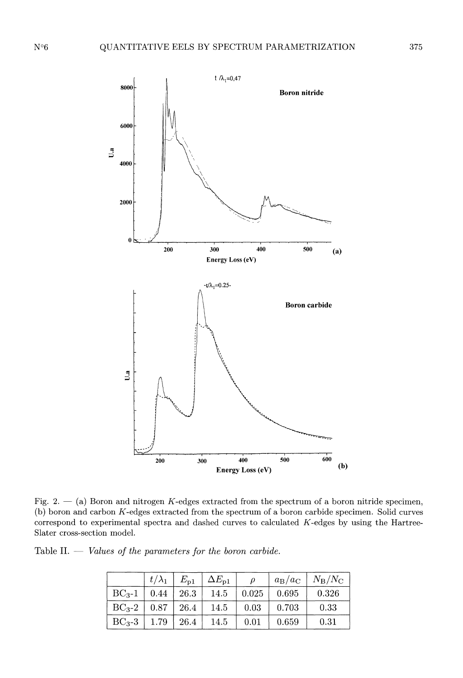

Fig. 2.  $-$  (a) Boron and nitrogen K-edges extracted from the spectrum of a boron nitride specimen, (b) boron and carbon K-edges extracted from the spectrum of a boron carbide specimen. Solid curves correspond to experimental spectra and dashed curves to calculated K-edges by using the Hartree-Slater cross-section model.

Table II.  $-$  Values of the parameters for the boron carbide.

|                                              | $t/\lambda_1$ | $E_{p1}$   | $\Delta E_{\text{d}}$ |       | $a_{\rm B}/a_{\rm C}$ | $N_{\rm B}/N_{\rm C}$ |
|----------------------------------------------|---------------|------------|-----------------------|-------|-----------------------|-----------------------|
| $\mid$ BC <sub>3</sub> -1 $\mid$ 0.44 $\mid$ |               | $\pm 26.3$ | 14.5                  | 0.025 | 0.695                 | 0.326                 |
| $BC_3-2$   0.87   26.4                       |               |            | 14.5                  | 0.03  | 0.703                 | 0.33                  |
| $B\mathrm{C}_3\textrm{-}3$                   | 1.79          | $\pm 26.4$ | 14.5                  | 0.01  | 0.659                 | 0.31                  |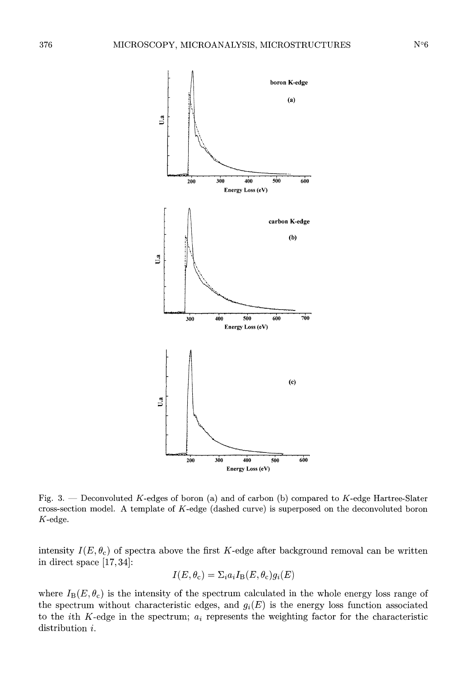

Fig. 3. - Deconvoluted K-edges of boron (a) and of carbon (b) compared to K-edge Hartree-Slater cross-section model. A template of K-edge (dashed curve) is superposed on the deconvoluted boron K-edge.

intensity  $I(E, \theta_{c})$  of spectra above the first K-edge after background removal can be written in direct space  $[17,34]$ :

$$
I(E, \theta_{\rm c}) = \Sigma_i a_i I_{\rm B}(E, \theta_{\rm c}) g_i(E)
$$

where  $I_B(E,\theta_c)$  is the intensity of the spectrum calculated in the whole energy loss range of the spectrum without characteristic edges, and  $g_i(E)$  is the energy loss function associated to the *i*th K-edge in the spectrum;  $a_i$  represents the weighting factor for the characteristic distribution *i*.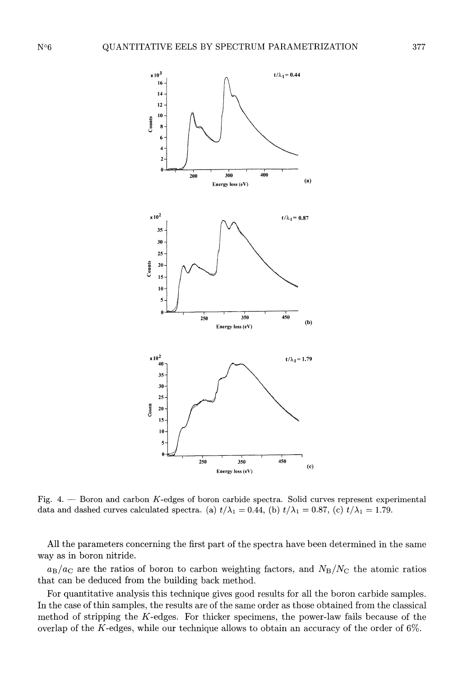

Fig. 4. - Boron and carbon K-edges of boron carbide spectra. Solid curves represent experimental data and dashed curves calculated spectra. (a)  $t/\lambda_1 = 0.44$ , (b)  $t/\lambda_1 = 0.87$ , (c)  $t/\lambda_1 = 1.79$ .

All the parameters concerning the first part of the spectra have been determined in the same way as in boron nitride.

 $a_B/a_C$  are the ratios of boron to carbon weighting factors, and  $N_B/N_C$  the atomic ratios that can be deduced from the building back method.

For quantitative analysis this technique gives good results for all the boron carbide samples. In the case of thin samples, the results are of the same order as those obtained from the classical method of stripping the  $K$ -edges. For thicker specimens, the power-law fails because of the overlap of the K-edges, while our technique allows to obtain an accuracy of the order of 6%.